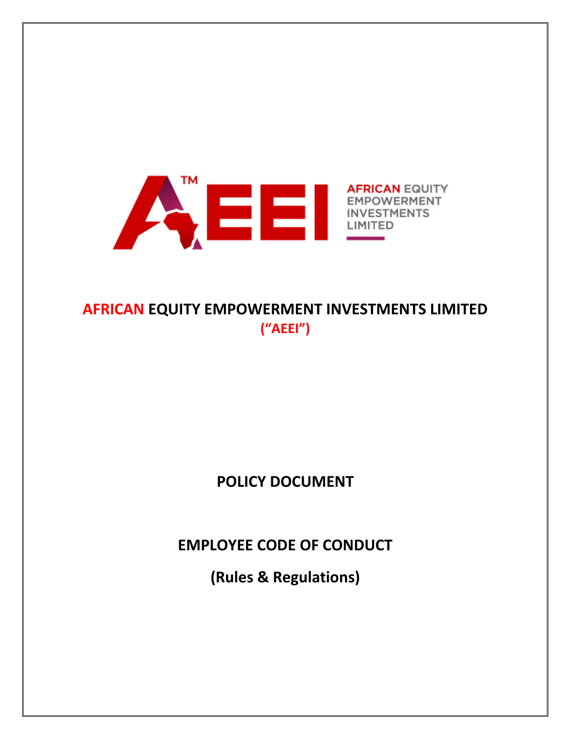

# **AFRICAN EQUITY EMPOWERMENT INVESTMENTS LIMITED ("AEEI")**

# **POLICY DOCUMENT**

**EMPLOYEE CODE OF CONDUCT**

**(Rules & Regulations)**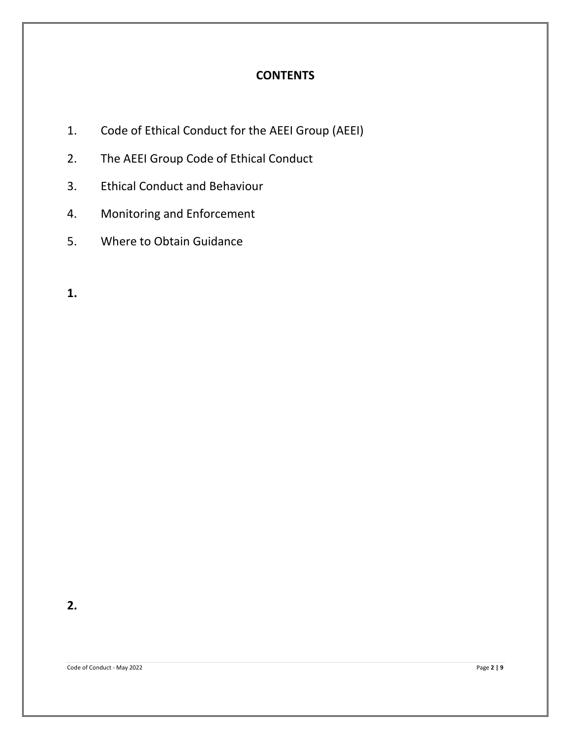# **CONTENTS**

- 1. Code of Ethical Conduct for the AEEI Group (AEEI)
- 2. The AEEI Group Code of Ethical Conduct
- 3. Ethical Conduct and Behaviour
- 4. Monitoring and Enforcement
- 5. Where to Obtain Guidance

**1.**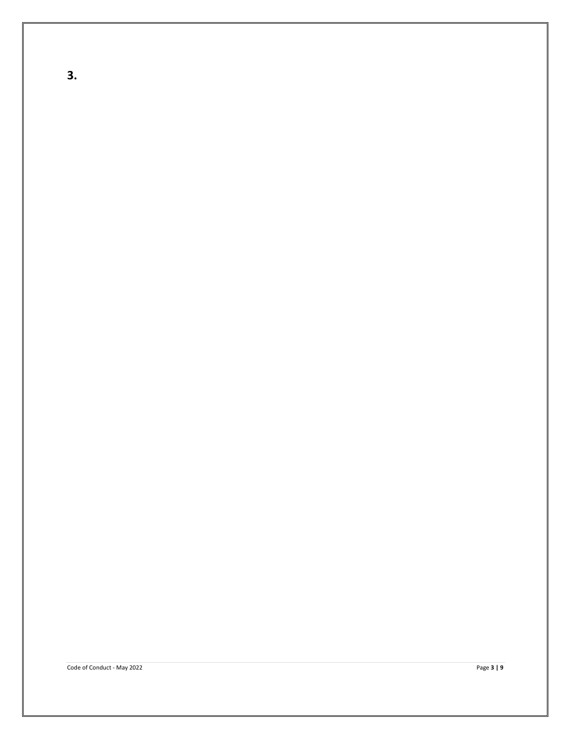**3.**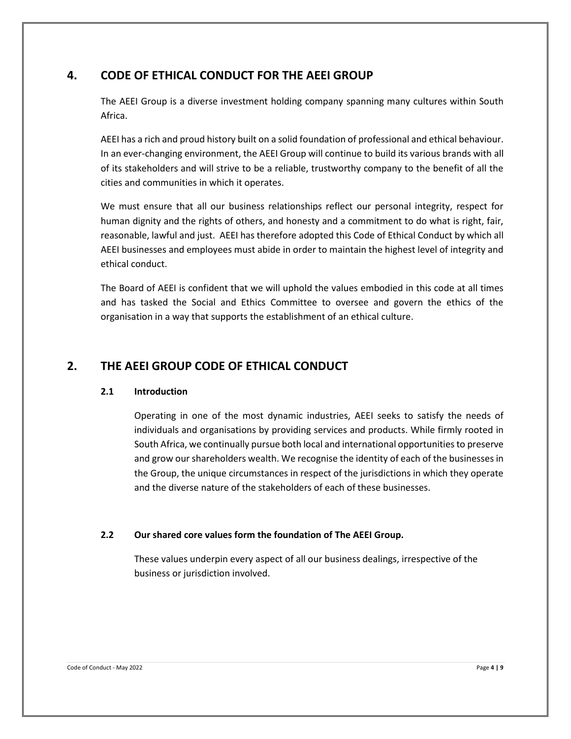## **4. CODE OF ETHICAL CONDUCT FOR THE AEEI GROUP**

The AEEI Group is a diverse investment holding company spanning many cultures within South Africa.

AEEI has a rich and proud history built on a solid foundation of professional and ethical behaviour. In an ever-changing environment, the AEEI Group will continue to build its various brands with all of its stakeholders and will strive to be a reliable, trustworthy company to the benefit of all the cities and communities in which it operates.

We must ensure that all our business relationships reflect our personal integrity, respect for human dignity and the rights of others, and honesty and a commitment to do what is right, fair, reasonable, lawful and just. AEEI has therefore adopted this Code of Ethical Conduct by which all AEEI businesses and employees must abide in order to maintain the highest level of integrity and ethical conduct.

The Board of AEEI is confident that we will uphold the values embodied in this code at all times and has tasked the Social and Ethics Committee to oversee and govern the ethics of the organisation in a way that supports the establishment of an ethical culture.

## **2. THE AEEI GROUP CODE OF ETHICAL CONDUCT**

#### **2.1 Introduction**

Operating in one of the most dynamic industries, AEEI seeks to satisfy the needs of individuals and organisations by providing services and products. While firmly rooted in South Africa, we continually pursue both local and international opportunities to preserve and grow our shareholders wealth. We recognise the identity of each of the businesses in the Group, the unique circumstances in respect of the jurisdictions in which they operate and the diverse nature of the stakeholders of each of these businesses.

#### **2.2 Our shared core values form the foundation of The AEEI Group.**

These values underpin every aspect of all our business dealings, irrespective of the business or jurisdiction involved.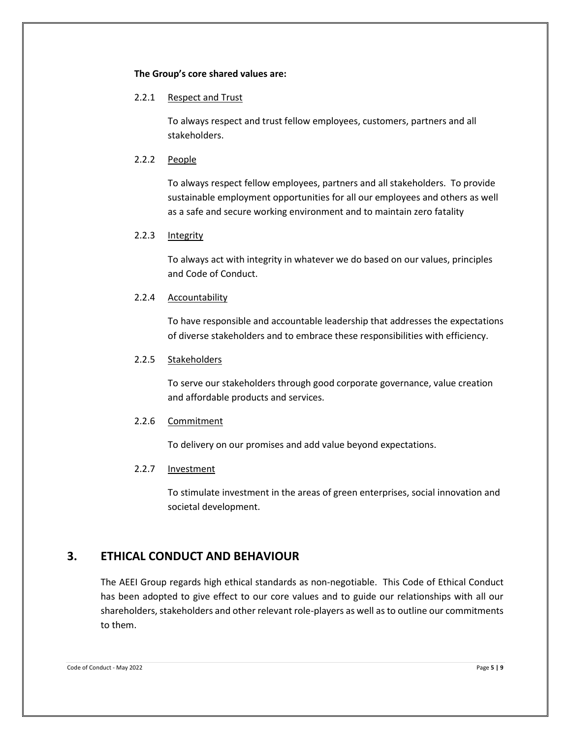#### **The Group's core shared values are:**

#### 2.2.1 Respect and Trust

To always respect and trust fellow employees, customers, partners and all stakeholders.

#### 2.2.2 People

To always respect fellow employees, partners and all stakeholders. To provide sustainable employment opportunities for all our employees and others as well as a safe and secure working environment and to maintain zero fatality

#### 2.2.3 Integrity

To always act with integrity in whatever we do based on our values, principles and Code of Conduct.

#### 2.2.4 Accountability

To have responsible and accountable leadership that addresses the expectations of diverse stakeholders and to embrace these responsibilities with efficiency.

#### 2.2.5 Stakeholders

To serve our stakeholders through good corporate governance, value creation and affordable products and services.

#### 2.2.6 Commitment

To delivery on our promises and add value beyond expectations.

#### 2.2.7 Investment

To stimulate investment in the areas of green enterprises, social innovation and societal development.

## **3. ETHICAL CONDUCT AND BEHAVIOUR**

The AEEI Group regards high ethical standards as non-negotiable. This Code of Ethical Conduct has been adopted to give effect to our core values and to guide our relationships with all our shareholders, stakeholders and other relevant role-players as well as to outline our commitments to them.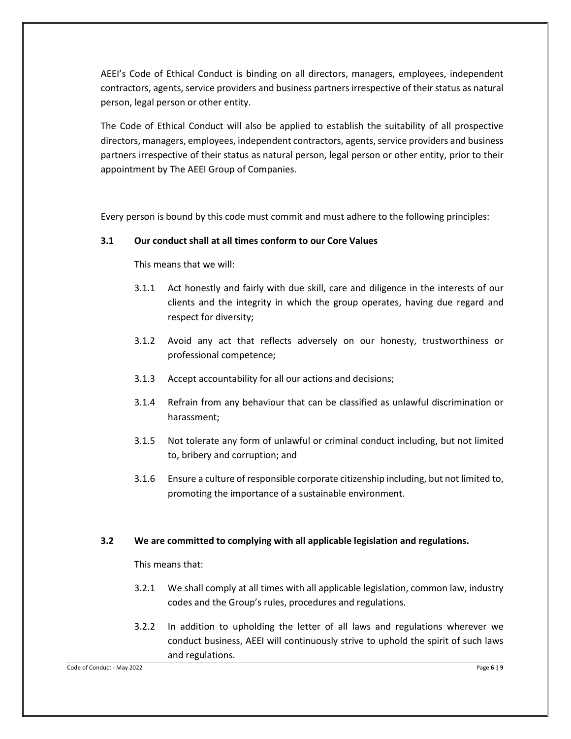AEEI's Code of Ethical Conduct is binding on all directors, managers, employees, independent contractors, agents, service providers and business partners irrespective of their status as natural person, legal person or other entity.

The Code of Ethical Conduct will also be applied to establish the suitability of all prospective directors, managers, employees, independent contractors, agents, service providers and business partners irrespective of their status as natural person, legal person or other entity, prior to their appointment by The AEEI Group of Companies.

Every person is bound by this code must commit and must adhere to the following principles:

#### **3.1 Our conduct shall at all times conform to our Core Values**

This means that we will:

- 3.1.1 Act honestly and fairly with due skill, care and diligence in the interests of our clients and the integrity in which the group operates, having due regard and respect for diversity;
- 3.1.2 Avoid any act that reflects adversely on our honesty, trustworthiness or professional competence;
- 3.1.3 Accept accountability for all our actions and decisions;
- 3.1.4 Refrain from any behaviour that can be classified as unlawful discrimination or harassment;
- 3.1.5 Not tolerate any form of unlawful or criminal conduct including, but not limited to, bribery and corruption; and
- 3.1.6 Ensure a culture of responsible corporate citizenship including, but not limited to, promoting the importance of a sustainable environment.

#### **3.2 We are committed to complying with all applicable legislation and regulations.**

This means that:

- 3.2.1 We shall comply at all times with all applicable legislation, common law, industry codes and the Group's rules, procedures and regulations.
- 3.2.2 In addition to upholding the letter of all laws and regulations wherever we conduct business, AEEI will continuously strive to uphold the spirit of such laws and regulations.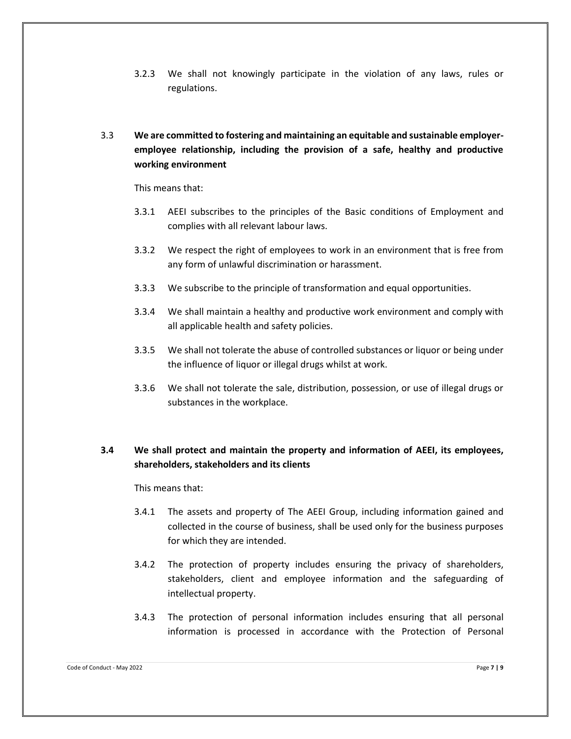- 3.2.3 We shall not knowingly participate in the violation of any laws, rules or regulations.
- 3.3 **We are committed to fostering and maintaining an equitable and sustainable employeremployee relationship, including the provision of a safe, healthy and productive working environment**

This means that:

- 3.3.1 AEEI subscribes to the principles of the Basic conditions of Employment and complies with all relevant labour laws.
- 3.3.2 We respect the right of employees to work in an environment that is free from any form of unlawful discrimination or harassment.
- 3.3.3 We subscribe to the principle of transformation and equal opportunities.
- 3.3.4 We shall maintain a healthy and productive work environment and comply with all applicable health and safety policies.
- 3.3.5 We shall not tolerate the abuse of controlled substances or liquor or being under the influence of liquor or illegal drugs whilst at work.
- 3.3.6 We shall not tolerate the sale, distribution, possession, or use of illegal drugs or substances in the workplace.

### **3.4 We shall protect and maintain the property and information of AEEI, its employees, shareholders, stakeholders and its clients**

This means that:

- 3.4.1 The assets and property of The AEEI Group, including information gained and collected in the course of business, shall be used only for the business purposes for which they are intended.
- 3.4.2 The protection of property includes ensuring the privacy of shareholders, stakeholders, client and employee information and the safeguarding of intellectual property.
- 3.4.3 The protection of personal information includes ensuring that all personal information is processed in accordance with the Protection of Personal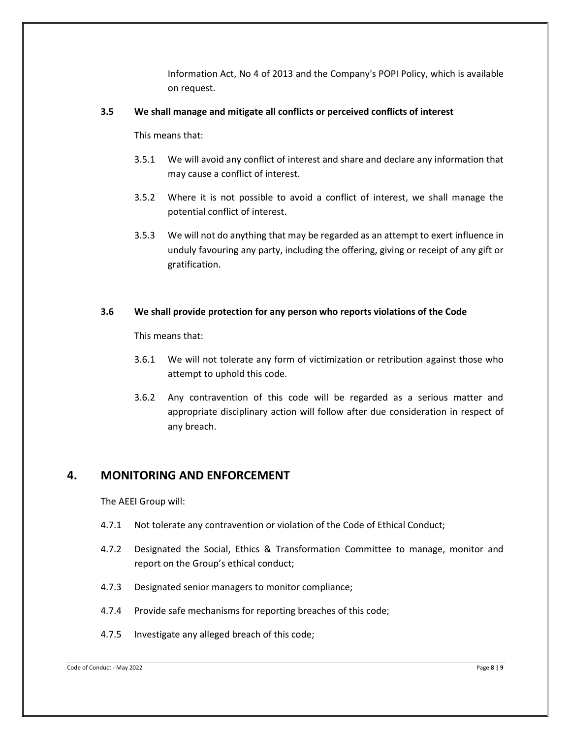Information Act, No 4 of 2013 and the Company's POPI Policy, which is available on request.

#### **3.5 We shall manage and mitigate all conflicts or perceived conflicts of interest**

This means that:

- 3.5.1 We will avoid any conflict of interest and share and declare any information that may cause a conflict of interest.
- 3.5.2 Where it is not possible to avoid a conflict of interest, we shall manage the potential conflict of interest.
- 3.5.3 We will not do anything that may be regarded as an attempt to exert influence in unduly favouring any party, including the offering, giving or receipt of any gift or gratification.

#### **3.6 We shall provide protection for any person who reports violations of the Code**

This means that:

- 3.6.1 We will not tolerate any form of victimization or retribution against those who attempt to uphold this code.
- 3.6.2 Any contravention of this code will be regarded as a serious matter and appropriate disciplinary action will follow after due consideration in respect of any breach.

## **4. MONITORING AND ENFORCEMENT**

The AEEI Group will:

- 4.7.1 Not tolerate any contravention or violation of the Code of Ethical Conduct;
- 4.7.2 Designated the Social, Ethics & Transformation Committee to manage, monitor and report on the Group's ethical conduct;
- 4.7.3 Designated senior managers to monitor compliance;
- 4.7.4 Provide safe mechanisms for reporting breaches of this code;
- 4.7.5 Investigate any alleged breach of this code;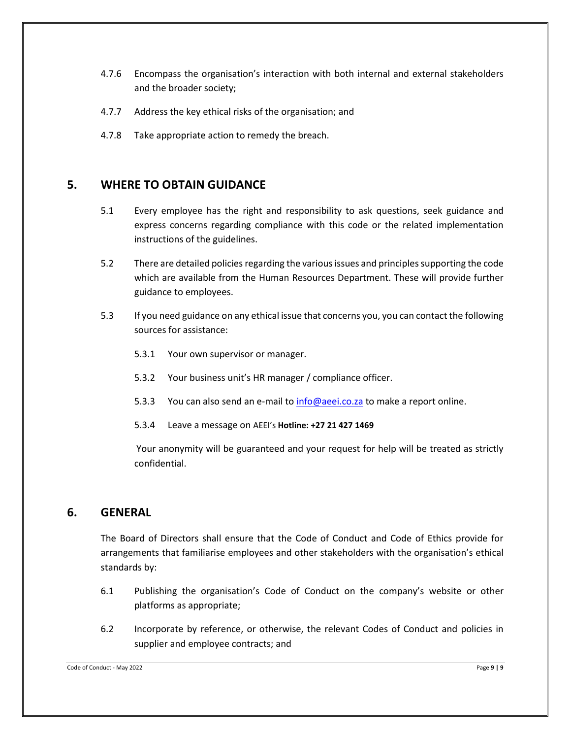- 4.7.6 Encompass the organisation's interaction with both internal and external stakeholders and the broader society;
- 4.7.7 Address the key ethical risks of the organisation; and
- 4.7.8 Take appropriate action to remedy the breach.

## **5. WHERE TO OBTAIN GUIDANCE**

- 5.1 Every employee has the right and responsibility to ask questions, seek guidance and express concerns regarding compliance with this code or the related implementation instructions of the guidelines.
- 5.2 There are detailed policies regarding the various issues and principles supporting the code which are available from the Human Resources Department. These will provide further guidance to employees.
- 5.3 If you need guidance on any ethical issue that concerns you, you can contact the following sources for assistance:
	- 5.3.1 Your own supervisor or manager.
	- 5.3.2 Your business unit's HR manager / compliance officer.
	- 5.3.3 You can also send an e-mail to [info@aeei.co.za](mailto:info@aeei.co.za) to make a report online.
	- 5.3.4 Leave a message on AEEI's **Hotline: +27 21 427 1469**

Your anonymity will be guaranteed and your request for help will be treated as strictly confidential.

## **6. GENERAL**

The Board of Directors shall ensure that the Code of Conduct and Code of Ethics provide for arrangements that familiarise employees and other stakeholders with the organisation's ethical standards by:

- 6.1 Publishing the organisation's Code of Conduct on the company's website or other platforms as appropriate;
- 6.2 Incorporate by reference, or otherwise, the relevant Codes of Conduct and policies in supplier and employee contracts; and